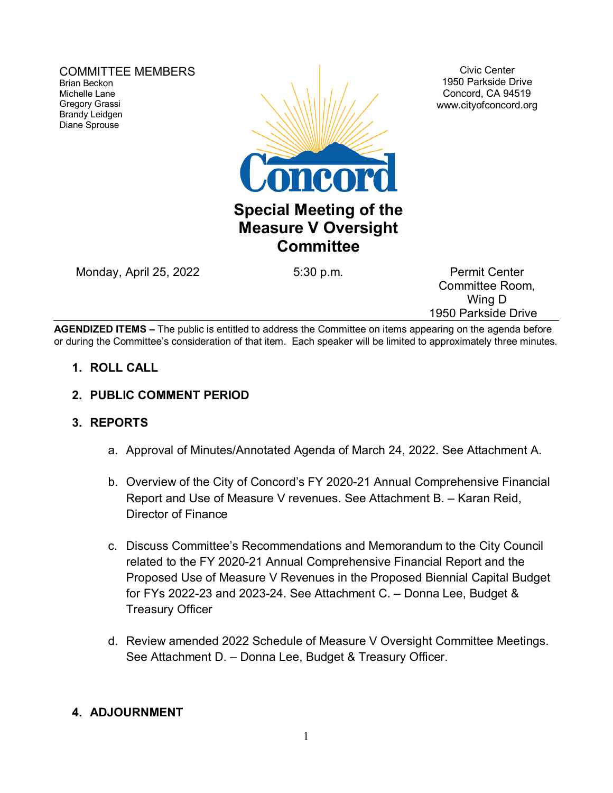COMMITTEE MEMBERS Brian Beckon Michelle Lane Gregory Grassi Brandy Leidgen Diane Sprouse



Civic Center 1950 Parkside Drive Concord, CA 94519 www.cityofconcord.org

## **Special Meeting of the Measure V Oversight Committee**

Monday, April 25, 2022 **5:30 p.m.** Permit Center

Committee Room, Wing D 1950 Parkside Drive

**AGENDIZED ITEMS –** The public is entitled to address the Committee on items appearing on the agenda before or during the Committee's consideration of that item. Each speaker will be limited to approximately three minutes.

- **1. ROLL CALL**
- **2. PUBLIC COMMENT PERIOD**

### **3. REPORTS**

- a. Approval of Minutes/Annotated Agenda of March 24, 2022. See Attachment A.
- b. Overview of the City of Concord's FY 2020-21 Annual Comprehensive Financial Report and Use of Measure V revenues. See Attachment B. – Karan Reid, Director of Finance
- c. Discuss Committee's Recommendations and Memorandum to the City Council related to the FY 2020-21 Annual Comprehensive Financial Report and the Proposed Use of Measure V Revenues in the Proposed Biennial Capital Budget for FYs 2022-23 and 2023-24. See Attachment C. – Donna Lee, Budget & Treasury Officer
- d. Review amended 2022 Schedule of Measure V Oversight Committee Meetings. See Attachment D. – Donna Lee, Budget & Treasury Officer.

### **4. ADJOURNMENT**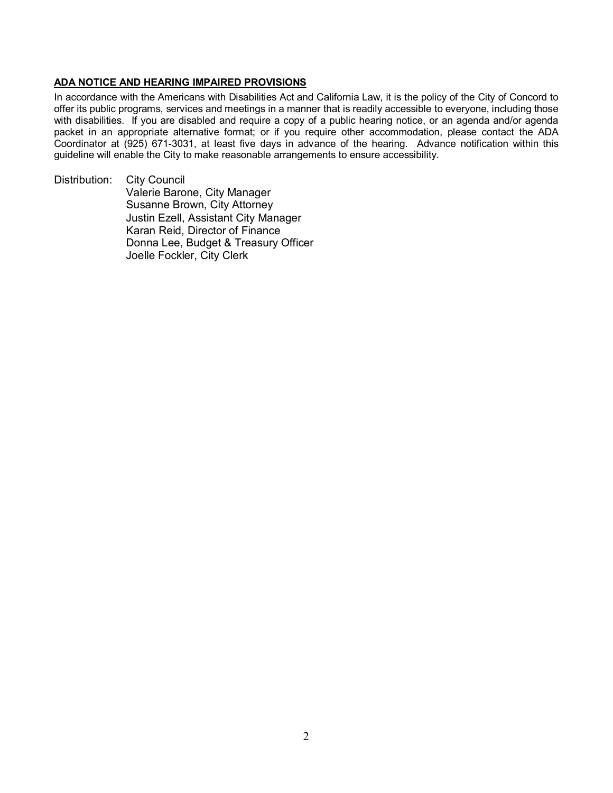#### **ADA NOTICE AND HEARING IMPAIRED PROVISIONS**

In accordance with the Americans with Disabilities Act and California Law, it is the policy of the City of Concord to offer its public programs, services and meetings in a manner that is readily accessible to everyone, including those with disabilities. If you are disabled and require a copy of a public hearing notice, or an agenda and/or agenda packet in an appropriate alternative format; or if you require other accommodation, please contact the ADA Coordinator at (925) 671-3031, at least five days in advance of the hearing. Advance notification within this guideline will enable the City to make reasonable arrangements to ensure accessibility.

Distribution: City Council Valerie Barone, City Manager Susanne Brown, City Attorney Justin Ezell, Assistant City Manager Karan Reid, Director of Finance Donna Lee, Budget & Treasury Officer Joelle Fockler, City Clerk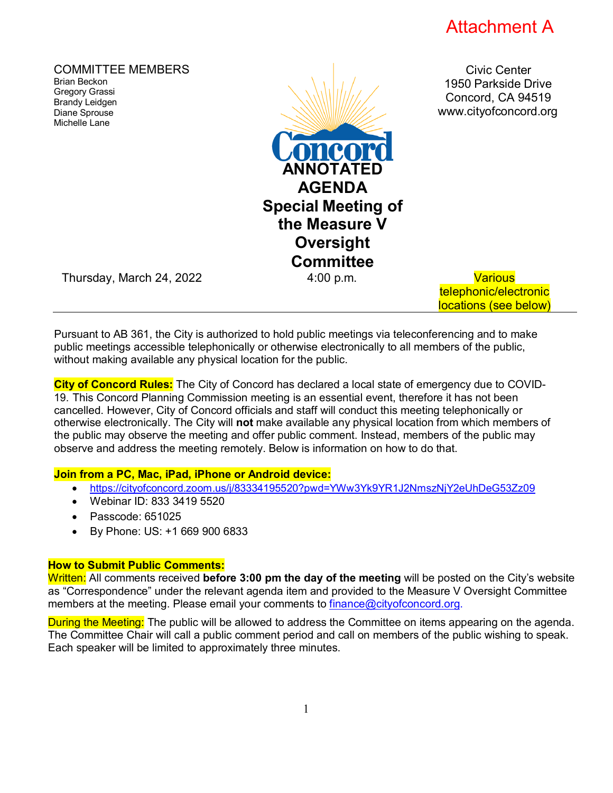

telephonic/electronic locations (see below)

COMMITTEE MEMBERS Brian Beckon Gregory Grassi Brandy Leidgen Diane Sprouse Michelle Lane Civic Center 1950 Parkside Drive Concord, CA 94519 [www.cityofconcord.org](http://www.cityofconcord.org/) **ANNOTATE**I **AGENDA Special Meeting of the Measure V Oversight Committee** Thursday, March 24, 2022 4:00 p.m. Various

Pursuant to AB 361, the City is authorized to hold public meetings via teleconferencing and to make public meetings accessible telephonically or otherwise electronically to all members of the public, without making available any physical location for the public.

**City of Concord Rules:** The City of Concord has declared a local state of emergency due to COVID-19. This Concord Planning Commission meeting is an essential event, therefore it has not been cancelled. However, City of Concord officials and staff will conduct this meeting telephonically or otherwise electronically. The City will **not** make available any physical location from which members of the public may observe the meeting and offer public comment. Instead, members of the public may observe and address the meeting remotely. Below is information on how to do that.

#### **Join from a PC, Mac, iPad, iPhone or Android device:**

- <https://cityofconcord.zoom.us/j/83334195520?pwd=YWw3Yk9YR1J2NmszNjY2eUhDeG53Zz09>
- Webinar ID: 833 3419 5520
- Passcode: 651025
- By Phone: US: +1 669 900 6833

#### **How to Submit Public Comments:**

Written: All comments received **before 3:00 pm the day of the meeting** will be posted on the City's website as "Correspondence" under the relevant agenda item and provided to the Measure V Oversight Committee members at the meeting. Please email your comments to [finance@cityofconcord.org.](mailto:finance@cityofconcord.org)

During the Meeting: The public will be allowed to address the Committee on items appearing on the agenda. The Committee Chair will call a public comment period and call on members of the public wishing to speak. Each speaker will be limited to approximately three minutes.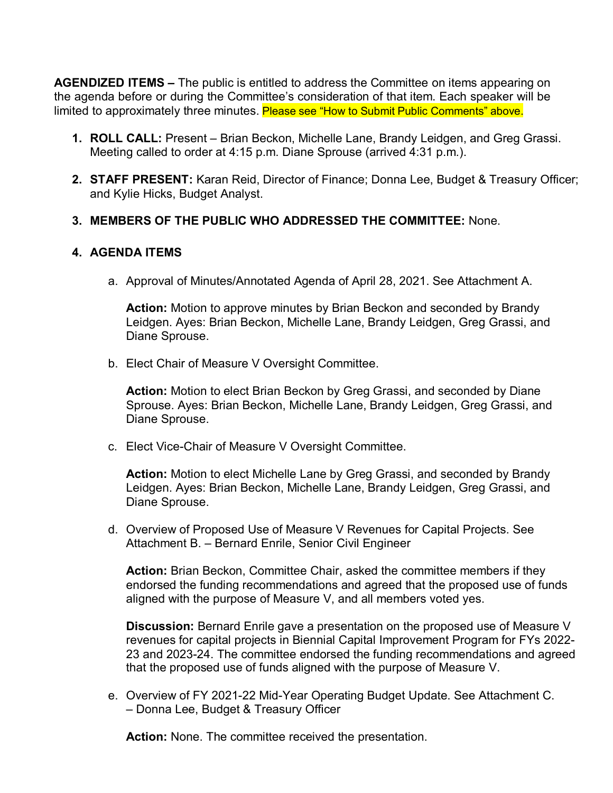**AGENDIZED ITEMS –** The public is entitled to address the Committee on items appearing on the agenda before or during the Committee's consideration of that item. Each speaker will be limited to approximately three minutes. Please see "How to Submit Public Comments" above.

- **1. ROLL CALL:** Present Brian Beckon, Michelle Lane, Brandy Leidgen, and Greg Grassi. Meeting called to order at 4:15 p.m. Diane Sprouse (arrived 4:31 p.m.).
- **2. STAFF PRESENT:** Karan Reid, Director of Finance; Donna Lee, Budget & Treasury Officer; and Kylie Hicks, Budget Analyst.

### **3. MEMBERS OF THE PUBLIC WHO ADDRESSED THE COMMITTEE:** None.

#### **4. AGENDA ITEMS**

a. Approval of Minutes/Annotated Agenda of April 28, 2021. See Attachment A.

**Action:** Motion to approve minutes by Brian Beckon and seconded by Brandy Leidgen. Ayes: Brian Beckon, Michelle Lane, Brandy Leidgen, Greg Grassi, and Diane Sprouse.

b. Elect Chair of Measure V Oversight Committee.

**Action:** Motion to elect Brian Beckon by Greg Grassi, and seconded by Diane Sprouse. Ayes: Brian Beckon, Michelle Lane, Brandy Leidgen, Greg Grassi, and Diane Sprouse.

c. Elect Vice-Chair of Measure V Oversight Committee.

**Action:** Motion to elect Michelle Lane by Greg Grassi, and seconded by Brandy Leidgen. Ayes: Brian Beckon, Michelle Lane, Brandy Leidgen, Greg Grassi, and Diane Sprouse.

d. Overview of Proposed Use of Measure V Revenues for Capital Projects. See Attachment B. – Bernard Enrile, Senior Civil Engineer

**Action:** Brian Beckon, Committee Chair, asked the committee members if they endorsed the funding recommendations and agreed that the proposed use of funds aligned with the purpose of Measure V, and all members voted yes.

**Discussion:** Bernard Enrile gave a presentation on the proposed use of Measure V revenues for capital projects in Biennial Capital Improvement Program for FYs 2022- 23 and 2023-24. The committee endorsed the funding recommendations and agreed that the proposed use of funds aligned with the purpose of Measure V.

e. Overview of FY 2021-22 Mid-Year Operating Budget Update. See Attachment C. – Donna Lee, Budget & Treasury Officer

**Action:** None. The committee received the presentation.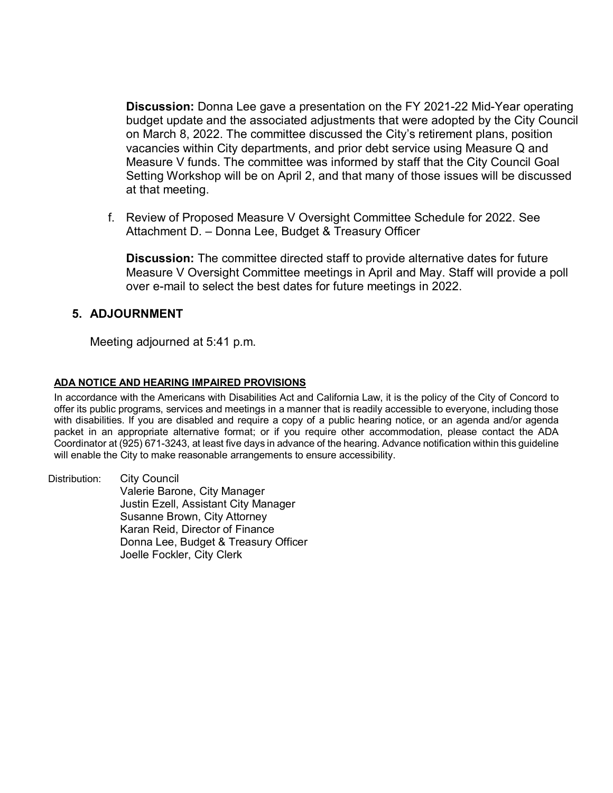**Discussion:** Donna Lee gave a presentation on the FY 2021-22 Mid-Year operating budget update and the associated adjustments that were adopted by the City Council on March 8, 2022. The committee discussed the City's retirement plans, position vacancies within City departments, and prior debt service using Measure Q and Measure V funds. The committee was informed by staff that the City Council Goal Setting Workshop will be on April 2, and that many of those issues will be discussed at that meeting.

f. Review of Proposed Measure V Oversight Committee Schedule for 2022. See Attachment D. – Donna Lee, Budget & Treasury Officer

**Discussion:** The committee directed staff to provide alternative dates for future Measure V Oversight Committee meetings in April and May. Staff will provide a poll over e-mail to select the best dates for future meetings in 2022.

#### **5. ADJOURNMENT**

Meeting adjourned at 5:41 p.m.

#### **ADA NOTICE AND HEARING IMPAIRED PROVISIONS**

In accordance with the Americans with Disabilities Act and California Law, it is the policy of the City of Concord to offer its public programs, services and meetings in a manner that is readily accessible to everyone, including those with disabilities. If you are disabled and require a copy of a public hearing notice, or an agenda and/or agenda packet in an appropriate alternative format; or if you require other accommodation, please contact the ADA Coordinator at (925) 671-3243, at least five days in advance of the hearing. Advance notification within this guideline will enable the City to make reasonable arrangements to ensure accessibility.

Distribution: City Council Valerie Barone, City Manager Justin Ezell, Assistant City Manager Susanne Brown, City Attorney Karan Reid, Director of Finance Donna Lee, Budget & Treasury Officer Joelle Fockler, City Clerk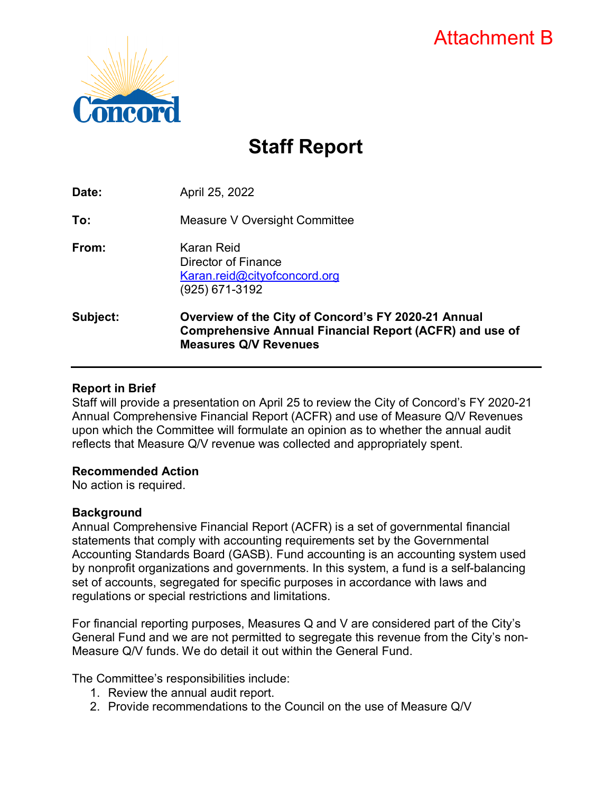# Attachment B



# **Staff Report**

| Subject: | Overview of the City of Concord's FY 2020-21 Annual<br><b>Comprehensive Annual Financial Report (ACFR) and use of</b><br><b>Measures Q/V Revenues</b> |
|----------|-------------------------------------------------------------------------------------------------------------------------------------------------------|
| From:    | Karan Reid<br>Director of Finance<br>Karan.reid@cityofconcord.org<br>(925) 671-3192                                                                   |
| To:      | Measure V Oversight Committee                                                                                                                         |
| Date:    | April 25, 2022                                                                                                                                        |

### **Report in Brief**

Staff will provide a presentation on April 25 to review the City of Concord's FY 2020-21 Annual Comprehensive Financial Report (ACFR) and use of Measure Q/V Revenues upon which the Committee will formulate an opinion as to whether the annual audit reflects that Measure Q/V revenue was collected and appropriately spent.

#### **Recommended Action**

No action is required.

### **Background**

Annual Comprehensive Financial Report (ACFR) is a set of governmental financial statements that comply with accounting requirements set by the Governmental Accounting Standards Board (GASB). Fund accounting is an accounting system used by nonprofit organizations and governments. In this system, a fund is a self-balancing set of accounts, segregated for specific purposes in accordance with laws and regulations or special restrictions and limitations.

For financial reporting purposes, Measures Q and V are considered part of the City's General Fund and we are not permitted to segregate this revenue from the City's non-Measure Q/V funds. We do detail it out within the General Fund.

The Committee's responsibilities include:

- 1. Review the annual audit report.
- 2. Provide recommendations to the Council on the use of Measure Q/V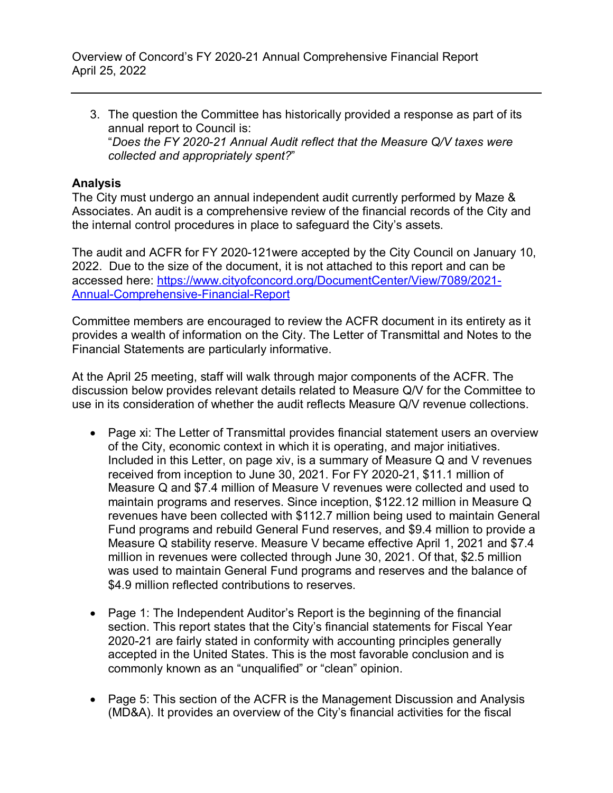3. The question the Committee has historically provided a response as part of its annual report to Council is: "*Does the FY 2020-21 Annual Audit reflect that the Measure Q/V taxes were collected and appropriately spent?*"

### **Analysis**

The City must undergo an annual independent audit currently performed by Maze & Associates. An audit is a comprehensive review of the financial records of the City and the internal control procedures in place to safeguard the City's assets.

The audit and ACFR for FY 2020-121were accepted by the City Council on January 10, 2022. Due to the size of the document, it is not attached to this report and can be accessed here: [https://www.cityofconcord.org/DocumentCenter/View/7089/2021-](https://www.cityofconcord.org/DocumentCenter/View/7089/2021-Annual-Comprehensive-Financial-Report) [Annual-Comprehensive-Financial-Report](https://www.cityofconcord.org/DocumentCenter/View/7089/2021-Annual-Comprehensive-Financial-Report)

Committee members are encouraged to review the ACFR document in its entirety as it provides a wealth of information on the City. The Letter of Transmittal and Notes to the Financial Statements are particularly informative.

At the April 25 meeting, staff will walk through major components of the ACFR. The discussion below provides relevant details related to Measure Q/V for the Committee to use in its consideration of whether the audit reflects Measure Q/V revenue collections.

- Page xi: The Letter of Transmittal provides financial statement users an overview of the City, economic context in which it is operating, and major initiatives. Included in this Letter, on page xiv, is a summary of Measure Q and V revenues received from inception to June 30, 2021. For FY 2020-21, \$11.1 million of Measure Q and \$7.4 million of Measure V revenues were collected and used to maintain programs and reserves. Since inception, \$122.12 million in Measure Q revenues have been collected with \$112.7 million being used to maintain General Fund programs and rebuild General Fund reserves, and \$9.4 million to provide a Measure Q stability reserve. Measure V became effective April 1, 2021 and \$7.4 million in revenues were collected through June 30, 2021. Of that, \$2.5 million was used to maintain General Fund programs and reserves and the balance of \$4.9 million reflected contributions to reserves.
- Page 1: The Independent Auditor's Report is the beginning of the financial section. This report states that the City's financial statements for Fiscal Year 2020-21 are fairly stated in conformity with accounting principles generally accepted in the United States. This is the most favorable conclusion and is commonly known as an "unqualified" or "clean" opinion.
- Page 5: This section of the ACFR is the Management Discussion and Analysis (MD&A). It provides an overview of the City's financial activities for the fiscal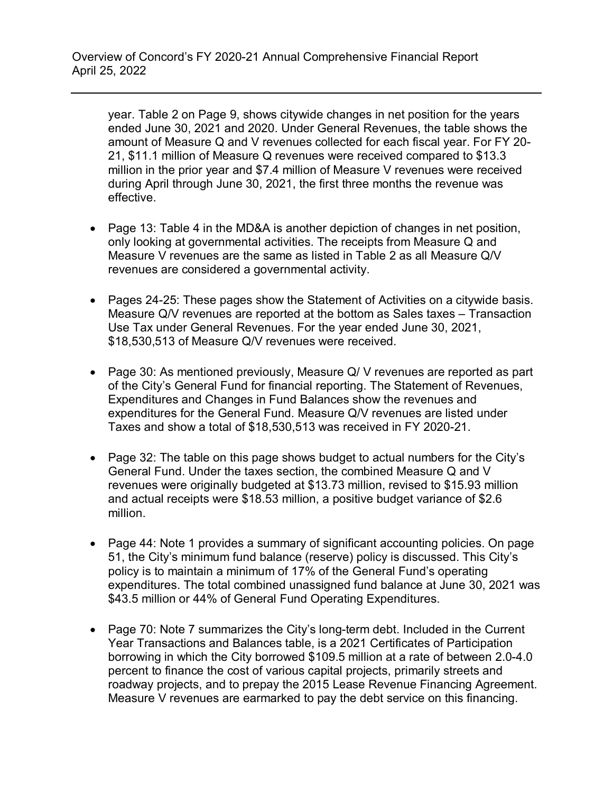year. Table 2 on Page 9, shows citywide changes in net position for the years ended June 30, 2021 and 2020. Under General Revenues, the table shows the amount of Measure Q and V revenues collected for each fiscal year. For FY 20- 21, \$11.1 million of Measure Q revenues were received compared to \$13.3 million in the prior year and \$7.4 million of Measure V revenues were received during April through June 30, 2021, the first three months the revenue was effective.

- Page 13: Table 4 in the MD&A is another depiction of changes in net position, only looking at governmental activities. The receipts from Measure Q and Measure V revenues are the same as listed in Table 2 as all Measure Q/V revenues are considered a governmental activity.
- Pages 24-25: These pages show the Statement of Activities on a citywide basis. Measure Q/V revenues are reported at the bottom as Sales taxes – Transaction Use Tax under General Revenues. For the year ended June 30, 2021, \$18,530,513 of Measure Q/V revenues were received.
- Page 30: As mentioned previously, Measure Q/V revenues are reported as part of the City's General Fund for financial reporting. The Statement of Revenues, Expenditures and Changes in Fund Balances show the revenues and expenditures for the General Fund. Measure Q/V revenues are listed under Taxes and show a total of \$18,530,513 was received in FY 2020-21.
- Page 32: The table on this page shows budget to actual numbers for the City's General Fund. Under the taxes section, the combined Measure Q and V revenues were originally budgeted at \$13.73 million, revised to \$15.93 million and actual receipts were \$18.53 million, a positive budget variance of \$2.6 million.
- Page 44: Note 1 provides a summary of significant accounting policies. On page 51, the City's minimum fund balance (reserve) policy is discussed. This City's policy is to maintain a minimum of 17% of the General Fund's operating expenditures. The total combined unassigned fund balance at June 30, 2021 was \$43.5 million or 44% of General Fund Operating Expenditures.
- Page 70: Note 7 summarizes the City's long-term debt. Included in the Current Year Transactions and Balances table, is a 2021 Certificates of Participation borrowing in which the City borrowed \$109.5 million at a rate of between 2.0-4.0 percent to finance the cost of various capital projects, primarily streets and roadway projects, and to prepay the 2015 Lease Revenue Financing Agreement. Measure V revenues are earmarked to pay the debt service on this financing.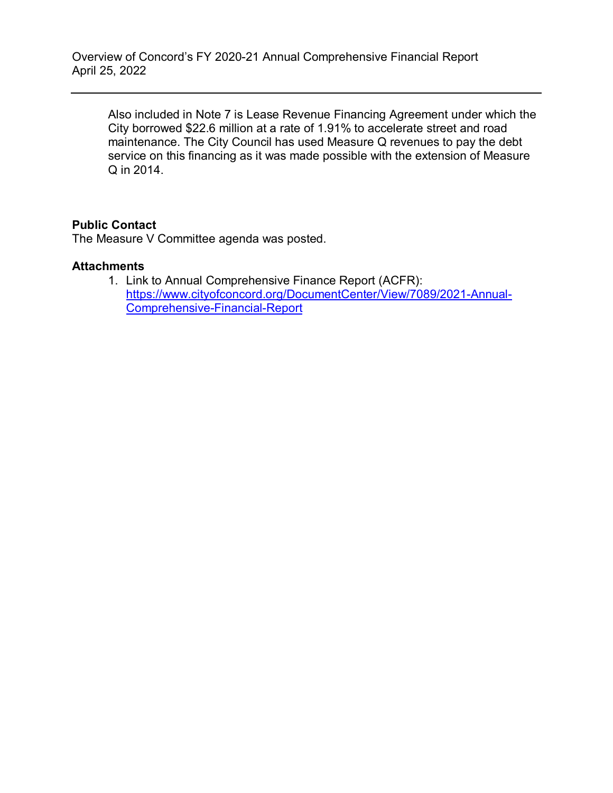Also included in Note 7 is Lease Revenue Financing Agreement under which the City borrowed \$22.6 million at a rate of 1.91% to accelerate street and road maintenance. The City Council has used Measure Q revenues to pay the debt service on this financing as it was made possible with the extension of Measure Q in 2014.

### **Public Contact**

The Measure V Committee agenda was posted.

#### **Attachments**

1. Link to Annual Comprehensive Finance Report (ACFR): [https://www.cityofconcord.org/DocumentCenter/View/7089/2021-Annual-](https://www.cityofconcord.org/DocumentCenter/View/7089/2021-Annual-Comprehensive-Financial-Report)[Comprehensive-Financial-Report](https://www.cityofconcord.org/DocumentCenter/View/7089/2021-Annual-Comprehensive-Financial-Report)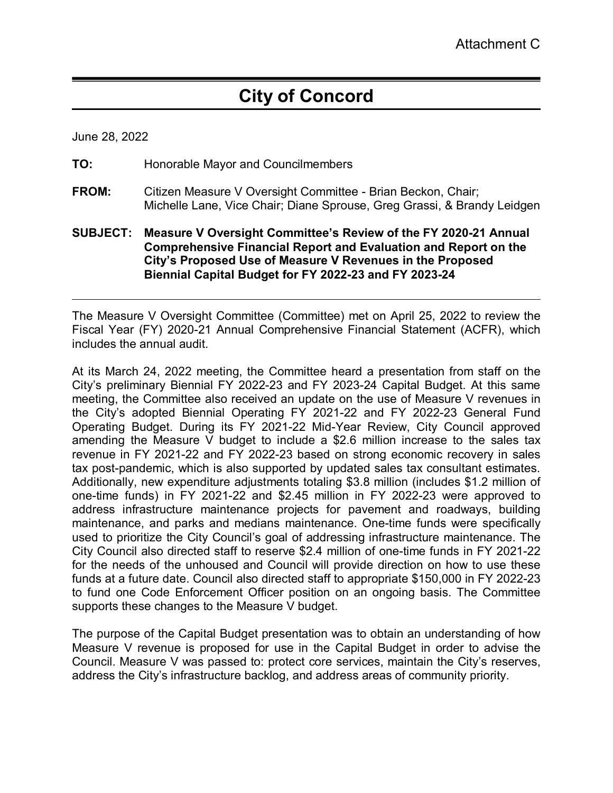# **City of Concord**

June 28, 2022

- **TO:** Honorable Mayor and Councilmembers
- **FROM:** Citizen Measure V Oversight Committee Brian Beckon, Chair; Michelle Lane, Vice Chair; Diane Sprouse, Greg Grassi, & Brandy Leidgen
- **SUBJECT: Measure V Oversight Committee's Review of the FY 2020-21 Annual Comprehensive Financial Report and Evaluation and Report on the City's Proposed Use of Measure V Revenues in the Proposed Biennial Capital Budget for FY 2022-23 and FY 2023-24**

The Measure V Oversight Committee (Committee) met on April 25, 2022 to review the Fiscal Year (FY) 2020-21 Annual Comprehensive Financial Statement (ACFR), which includes the annual audit.

At its March 24, 2022 meeting, the Committee heard a presentation from staff on the City's preliminary Biennial FY 2022-23 and FY 2023-24 Capital Budget. At this same meeting, the Committee also received an update on the use of Measure V revenues in the City's adopted Biennial Operating FY 2021-22 and FY 2022-23 General Fund Operating Budget. During its FY 2021-22 Mid-Year Review, City Council approved amending the Measure V budget to include a \$2.6 million increase to the sales tax revenue in FY 2021-22 and FY 2022-23 based on strong economic recovery in sales tax post-pandemic, which is also supported by updated sales tax consultant estimates. Additionally, new expenditure adjustments totaling \$3.8 million (includes \$1.2 million of one-time funds) in FY 2021-22 and \$2.45 million in FY 2022-23 were approved to address infrastructure maintenance projects for pavement and roadways, building maintenance, and parks and medians maintenance. One-time funds were specifically used to prioritize the City Council's goal of addressing infrastructure maintenance. The City Council also directed staff to reserve \$2.4 million of one-time funds in FY 2021-22 for the needs of the unhoused and Council will provide direction on how to use these funds at a future date. Council also directed staff to appropriate \$150,000 in FY 2022-23 to fund one Code Enforcement Officer position on an ongoing basis. The Committee supports these changes to the Measure V budget.

The purpose of the Capital Budget presentation was to obtain an understanding of how Measure V revenue is proposed for use in the Capital Budget in order to advise the Council. Measure V was passed to: protect core services, maintain the City's reserves, address the City's infrastructure backlog, and address areas of community priority.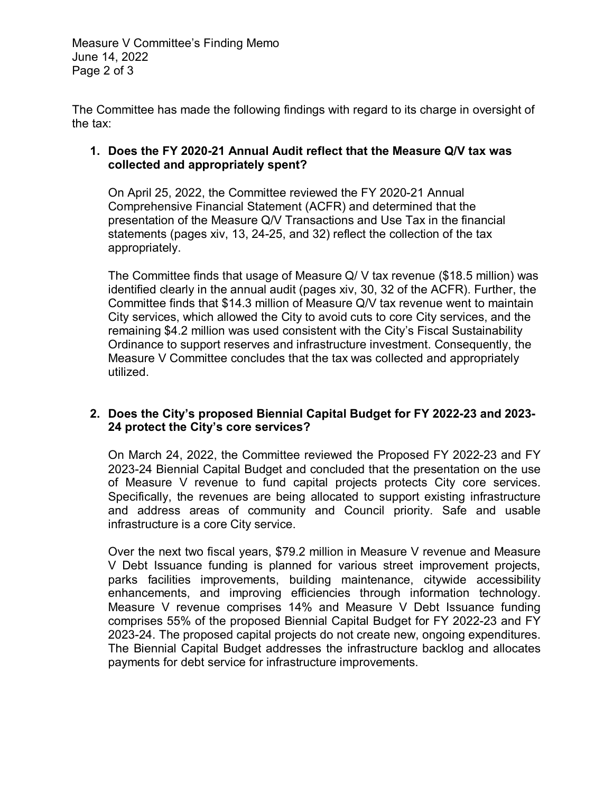Measure V Committee's Finding Memo June 14, 2022 Page 2 of 3

The Committee has made the following findings with regard to its charge in oversight of the tax:

### **1. Does the FY 2020-21 Annual Audit reflect that the Measure Q/V tax was collected and appropriately spent?**

On April 25, 2022, the Committee reviewed the FY 2020-21 Annual Comprehensive Financial Statement (ACFR) and determined that the presentation of the Measure Q/V Transactions and Use Tax in the financial statements (pages xiv, 13, 24-25, and 32) reflect the collection of the tax appropriately.

The Committee finds that usage of Measure Q/ V tax revenue (\$18.5 million) was identified clearly in the annual audit (pages xiv, 30, 32 of the ACFR). Further, the Committee finds that \$14.3 million of Measure Q/V tax revenue went to maintain City services, which allowed the City to avoid cuts to core City services, and the remaining \$4.2 million was used consistent with the City's Fiscal Sustainability Ordinance to support reserves and infrastructure investment. Consequently, the Measure V Committee concludes that the tax was collected and appropriately utilized.

### **2. Does the City's proposed Biennial Capital Budget for FY 2022-23 and 2023- 24 protect the City's core services?**

On March 24, 2022, the Committee reviewed the Proposed FY 2022-23 and FY 2023-24 Biennial Capital Budget and concluded that the presentation on the use of Measure V revenue to fund capital projects protects City core services. Specifically, the revenues are being allocated to support existing infrastructure and address areas of community and Council priority. Safe and usable infrastructure is a core City service.

Over the next two fiscal years, \$79.2 million in Measure V revenue and Measure V Debt Issuance funding is planned for various street improvement projects, parks facilities improvements, building maintenance, citywide accessibility enhancements, and improving efficiencies through information technology. Measure V revenue comprises 14% and Measure V Debt Issuance funding comprises 55% of the proposed Biennial Capital Budget for FY 2022-23 and FY 2023-24. The proposed capital projects do not create new, ongoing expenditures. The Biennial Capital Budget addresses the infrastructure backlog and allocates payments for debt service for infrastructure improvements.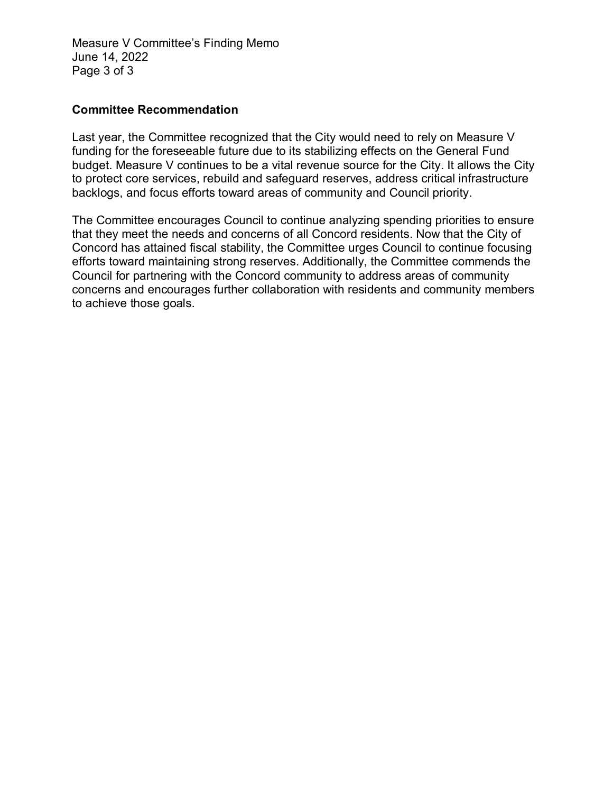Measure V Committee's Finding Memo June 14, 2022 Page 3 of 3

#### **Committee Recommendation**

Last year, the Committee recognized that the City would need to rely on Measure V funding for the foreseeable future due to its stabilizing effects on the General Fund budget. Measure V continues to be a vital revenue source for the City. It allows the City to protect core services, rebuild and safeguard reserves, address critical infrastructure backlogs, and focus efforts toward areas of community and Council priority.

The Committee encourages Council to continue analyzing spending priorities to ensure that they meet the needs and concerns of all Concord residents. Now that the City of Concord has attained fiscal stability, the Committee urges Council to continue focusing efforts toward maintaining strong reserves. Additionally, the Committee commends the Council for partnering with the Concord community to address areas of community concerns and encourages further collaboration with residents and community members to achieve those goals.